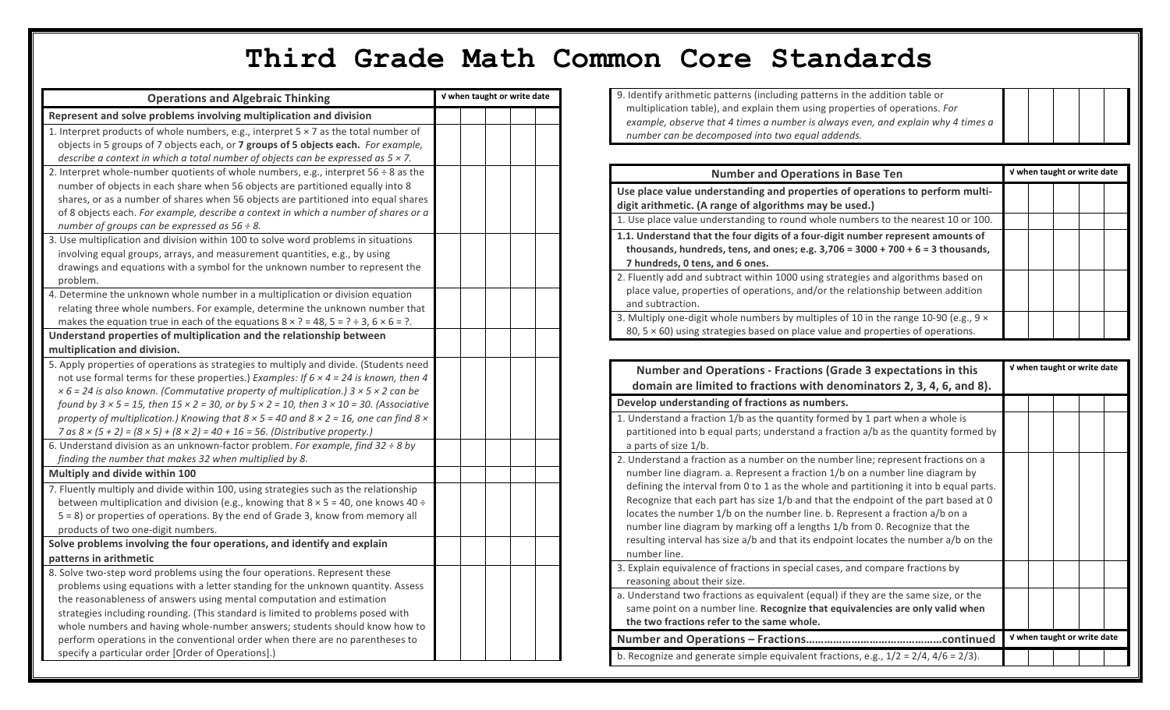## **Third Grade Math Common Core Standards**

| <b>Operations and Algebraic Thinking</b>                                                                                | V when taught or write date |  |  |
|-------------------------------------------------------------------------------------------------------------------------|-----------------------------|--|--|
| Represent and solve problems involving multiplication and division                                                      |                             |  |  |
| 1. Interpret products of whole numbers, e.g., interpret $5 \times 7$ as the total number of                             |                             |  |  |
| objects in 5 groups of 7 objects each, or 7 groups of 5 objects each. For example,                                      |                             |  |  |
| describe a context in which a total number of objects can be expressed as $5 \times 7$ .                                |                             |  |  |
| 2. Interpret whole-number quotients of whole numbers, e.g., interpret $56 \div 8$ as the                                |                             |  |  |
| number of objects in each share when 56 objects are partitioned equally into 8                                          |                             |  |  |
| shares, or as a number of shares when 56 objects are partitioned into equal shares                                      |                             |  |  |
| of 8 objects each. For example, describe a context in which a number of shares or a                                     |                             |  |  |
| number of groups can be expressed as $56 \div 8$ .                                                                      |                             |  |  |
| 3. Use multiplication and division within 100 to solve word problems in situations                                      |                             |  |  |
| involving equal groups, arrays, and measurement quantities, e.g., by using                                              |                             |  |  |
| drawings and equations with a symbol for the unknown number to represent the                                            |                             |  |  |
| problem.                                                                                                                |                             |  |  |
| 4. Determine the unknown whole number in a multiplication or division equation                                          |                             |  |  |
| relating three whole numbers. For example, determine the unknown number that                                            |                             |  |  |
| makes the equation true in each of the equations $8 \times ? = 48$ , $5 = ? \div 3$ , $6 \times 6 = ?$ .                |                             |  |  |
| Understand properties of multiplication and the relationship between                                                    |                             |  |  |
| multiplication and division.                                                                                            |                             |  |  |
| 5. Apply properties of operations as strategies to multiply and divide. (Students need                                  |                             |  |  |
| not use formal terms for these properties.) Examples: If $6 \times 4 = 24$ is known, then 4                             |                             |  |  |
| $x$ 6 = 24 is also known. (Commutative property of multiplication.) 3 $x$ 5 $x$ 2 can be                                |                             |  |  |
| found by $3 \times 5 = 15$ , then $15 \times 2 = 30$ , or by $5 \times 2 = 10$ , then $3 \times 10 = 30$ . (Associative |                             |  |  |
| property of multiplication.) Knowing that $8 \times 5 = 40$ and $8 \times 2 = 16$ , one can find $8 \times$             |                             |  |  |
| 7 as $8 \times (5 + 2) = (8 \times 5) + (8 \times 2) = 40 + 16 = 56$ . (Distributive property.)                         |                             |  |  |
| 6. Understand division as an unknown-factor problem. For example, find $32 \div 8$ by                                   |                             |  |  |
| finding the number that makes 32 when multiplied by 8.                                                                  |                             |  |  |
| Multiply and divide within 100                                                                                          |                             |  |  |
| 7. Fluently multiply and divide within 100, using strategies such as the relationship                                   |                             |  |  |
| between multiplication and division (e.g., knowing that $8 \times 5 = 40$ , one knows $40 \div$                         |                             |  |  |
| 5 = 8) or properties of operations. By the end of Grade 3, know from memory all                                         |                             |  |  |
| products of two one-digit numbers.                                                                                      |                             |  |  |
| Solve problems involving the four operations, and identify and explain                                                  |                             |  |  |
| patterns in arithmetic                                                                                                  |                             |  |  |
| 8. Solve two-step word problems using the four operations. Represent these                                              |                             |  |  |
| problems using equations with a letter standing for the unknown quantity. Assess                                        |                             |  |  |
| the reasonableness of answers using mental computation and estimation                                                   |                             |  |  |
| strategies including rounding. (This standard is limited to problems posed with                                         |                             |  |  |
| whole numbers and having whole-number answers; students should know how to                                              |                             |  |  |
| perform operations in the conventional order when there are no parentheses to                                           |                             |  |  |
| specify a particular order [Order of Operations].)                                                                      |                             |  |  |

9. Identify arithmetic patterns (including patterns in the addition table or multiplication table), and explain them using properties of operations. For example, observe that 4 times a number is always even, and explain why 4 times a *number can be decomposed into two equal addends.*

| <b>Number and Operations in Base Ten</b>                                                                                                                                                                 | V when taught or write date |  |  |  |
|----------------------------------------------------------------------------------------------------------------------------------------------------------------------------------------------------------|-----------------------------|--|--|--|
| Use place value understanding and properties of operations to perform multi-                                                                                                                             |                             |  |  |  |
| digit arithmetic. (A range of algorithms may be used.)                                                                                                                                                   |                             |  |  |  |
| 1. Use place value understanding to round whole numbers to the nearest 10 or 100.                                                                                                                        |                             |  |  |  |
| 1.1. Understand that the four digits of a four-digit number represent amounts of<br>thousands, hundreds, tens, and ones; e.g. $3,706 = 3000 + 700 + 6 = 3$ thousands,<br>7 hundreds, 0 tens, and 6 ones. |                             |  |  |  |
| 2. Fluently add and subtract within 1000 using strategies and algorithms based on<br>place value, properties of operations, and/or the relationship between addition<br>and subtraction.                 |                             |  |  |  |
| 3. Multiply one-digit whole numbers by multiples of 10 in the range 10-90 (e.g., $9 \times$<br>80, $5 \times 60$ ) using strategies based on place value and properties of operations.                   |                             |  |  |  |

| <b>Number and Operations - Fractions (Grade 3 expectations in this</b><br>domain are limited to fractions with denominators 2, 3, 4, 6, and 8).                                                                                                                                                                                                                                                                                                                                                                                                                                                                        | V when taught or write date |  |
|------------------------------------------------------------------------------------------------------------------------------------------------------------------------------------------------------------------------------------------------------------------------------------------------------------------------------------------------------------------------------------------------------------------------------------------------------------------------------------------------------------------------------------------------------------------------------------------------------------------------|-----------------------------|--|
| Develop understanding of fractions as numbers.                                                                                                                                                                                                                                                                                                                                                                                                                                                                                                                                                                         |                             |  |
| 1. Understand a fraction 1/b as the quantity formed by 1 part when a whole is<br>partitioned into b equal parts; understand a fraction a/b as the quantity formed by<br>a parts of size 1/b.                                                                                                                                                                                                                                                                                                                                                                                                                           |                             |  |
| 2. Understand a fraction as a number on the number line; represent fractions on a<br>number line diagram. a. Represent a fraction 1/b on a number line diagram by<br>defining the interval from 0 to 1 as the whole and partitioning it into b equal parts.<br>Recognize that each part has size 1/b and that the endpoint of the part based at 0<br>locates the number 1/b on the number line. b. Represent a fraction a/b on a<br>number line diagram by marking off a lengths 1/b from 0. Recognize that the<br>resulting interval has size a/b and that its endpoint locates the number a/b on the<br>number line. |                             |  |
| 3. Explain equivalence of fractions in special cases, and compare fractions by<br>reasoning about their size.                                                                                                                                                                                                                                                                                                                                                                                                                                                                                                          |                             |  |
| a. Understand two fractions as equivalent (equal) if they are the same size, or the<br>same point on a number line. Recognize that equivalencies are only valid when<br>the two fractions refer to the same whole.                                                                                                                                                                                                                                                                                                                                                                                                     |                             |  |
|                                                                                                                                                                                                                                                                                                                                                                                                                                                                                                                                                                                                                        | V when taught or write date |  |
| b. Recognize and generate simple equivalent fractions, e.g., $1/2 = 2/4$ , $4/6 = 2/3$ ).                                                                                                                                                                                                                                                                                                                                                                                                                                                                                                                              |                             |  |